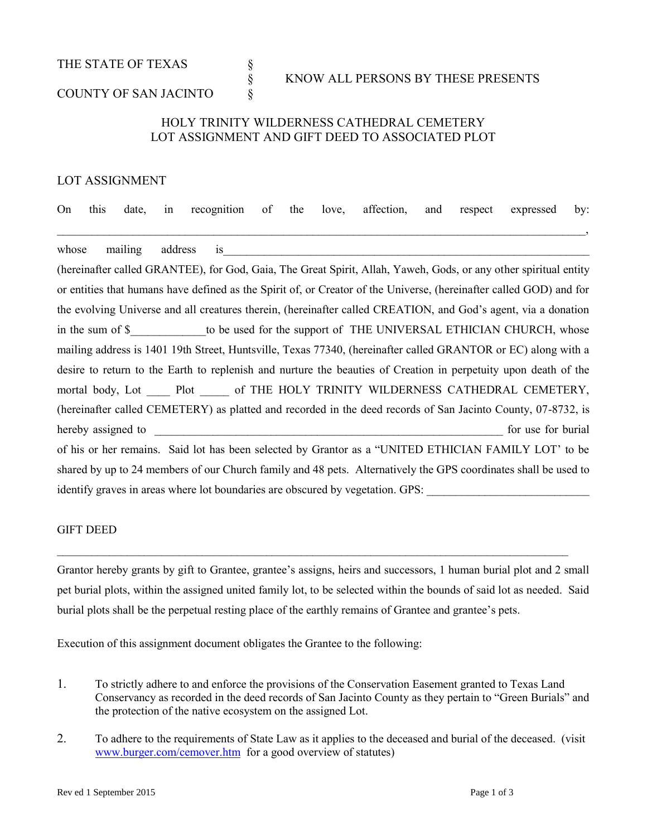THE STATE OF TEXAS  $\S$ 

# § KNOW ALL PERSONS BY THESE PRESENTS

## COUNTY OF SAN JACINTO  $\S$

## HOLY TRINITY WILDERNESS CATHEDRAL CEMETERY LOT ASSIGNMENT AND GIFT DEED TO ASSOCIATED PLOT

### LOT ASSIGNMENT

|  |  | On this date, in recognition of the love, affection, and respect expressed by: |  |  |  |  |
|--|--|--------------------------------------------------------------------------------|--|--|--|--|
|  |  |                                                                                |  |  |  |  |

whose mailing address is

(hereinafter called GRANTEE), for God, Gaia, The Great Spirit, Allah, Yaweh, Gods, or any other spiritual entity or entities that humans have defined as the Spirit of, or Creator of the Universe, (hereinafter called GOD) and for the evolving Universe and all creatures therein, (hereinafter called CREATION, and God's agent, via a donation in the sum of \$ The support of THE UNIVERSAL ETHICIAN CHURCH, whose mailing address is 1401 19th Street, Huntsville, Texas 77340, (hereinafter called GRANTOR or EC) along with a desire to return to the Earth to replenish and nurture the beauties of Creation in perpetuity upon death of the mortal body, Lot \_\_\_\_ Plot \_\_\_\_ of THE HOLY TRINITY WILDERNESS CATHEDRAL CEMETERY, (hereinafter called CEMETERY) as platted and recorded in the deed records of San Jacinto County, 07-8732, is hereby assigned to the state of the state of the state of the state of the state of the state of the state of the state of the state of the state of the state of the state of the state of the state of the state of the stat of his or her remains. Said lot has been selected by Grantor as a "UNITED ETHICIAN FAMILY LOT' to be shared by up to 24 members of our Church family and 48 pets. Alternatively the GPS coordinates shall be used to identify graves in areas where lot boundaries are obscured by vegetation. GPS:

#### GIFT DEED

Grantor hereby grants by gift to Grantee, grantee's assigns, heirs and successors, 1 human burial plot and 2 small pet burial plots, within the assigned united family lot, to be selected within the bounds of said lot as needed. Said burial plots shall be the perpetual resting place of the earthly remains of Grantee and grantee's pets.

 $\mathcal{L}_\mathcal{L} = \{ \mathcal{L}_\mathcal{L} = \{ \mathcal{L}_\mathcal{L} = \{ \mathcal{L}_\mathcal{L} = \{ \mathcal{L}_\mathcal{L} = \{ \mathcal{L}_\mathcal{L} = \{ \mathcal{L}_\mathcal{L} = \{ \mathcal{L}_\mathcal{L} = \{ \mathcal{L}_\mathcal{L} = \{ \mathcal{L}_\mathcal{L} = \{ \mathcal{L}_\mathcal{L} = \{ \mathcal{L}_\mathcal{L} = \{ \mathcal{L}_\mathcal{L} = \{ \mathcal{L}_\mathcal{L} = \{ \mathcal{L}_\mathcal{$ 

Execution of this assignment document obligates the Grantee to the following:

- 1. To strictly adhere to and enforce the provisions of the Conservation Easement granted to Texas Land Conservancy as recorded in the deed records of San Jacinto County as they pertain to "Green Burials" and the protection of the native ecosystem on the assigned Lot.
- 2. To adhere to the requirements of State Law as it applies to the deceased and burial of the deceased. (visit [www.burger.com/cemover.htm](http://www.burger.com/cemover.htm) for a good overview of statutes)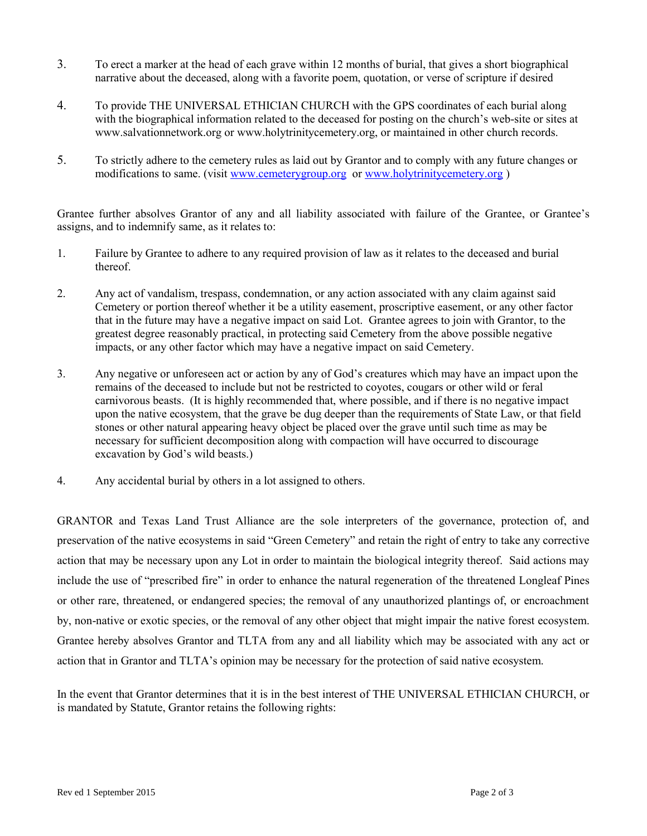- 3. To erect a marker at the head of each grave within 12 months of burial, that gives a short biographical narrative about the deceased, along with a favorite poem, quotation, or verse of scripture if desired
- 4. To provide THE UNIVERSAL ETHICIAN CHURCH with the GPS coordinates of each burial along with the biographical information related to the deceased for posting on the church's web-site or sites at www.salvationnetwork.org or www.holytrinitycemetery.org, or maintained in other church records.
- 5. To strictly adhere to the cemetery rules as laid out by Grantor and to comply with any future changes or modifications to same. (visit [www.cemeterygroup.org](http://www.cemeterygroup.org/) or [www.holytrinitycemetery.org](http://www.holytrinitycemetery.org/))

Grantee further absolves Grantor of any and all liability associated with failure of the Grantee, or Grantee's assigns, and to indemnify same, as it relates to:

- 1. Failure by Grantee to adhere to any required provision of law as it relates to the deceased and burial thereof.
- 2. Any act of vandalism, trespass, condemnation, or any action associated with any claim against said Cemetery or portion thereof whether it be a utility easement, proscriptive easement, or any other factor that in the future may have a negative impact on said Lot. Grantee agrees to join with Grantor, to the greatest degree reasonably practical, in protecting said Cemetery from the above possible negative impacts, or any other factor which may have a negative impact on said Cemetery.
- 3. Any negative or unforeseen act or action by any of God's creatures which may have an impact upon the remains of the deceased to include but not be restricted to coyotes, cougars or other wild or feral carnivorous beasts. (It is highly recommended that, where possible, and if there is no negative impact upon the native ecosystem, that the grave be dug deeper than the requirements of State Law, or that field stones or other natural appearing heavy object be placed over the grave until such time as may be necessary for sufficient decomposition along with compaction will have occurred to discourage excavation by God's wild beasts.)
- 4. Any accidental burial by others in a lot assigned to others.

GRANTOR and Texas Land Trust Alliance are the sole interpreters of the governance, protection of, and preservation of the native ecosystems in said "Green Cemetery" and retain the right of entry to take any corrective action that may be necessary upon any Lot in order to maintain the biological integrity thereof. Said actions may include the use of "prescribed fire" in order to enhance the natural regeneration of the threatened Longleaf Pines or other rare, threatened, or endangered species; the removal of any unauthorized plantings of, or encroachment by, non-native or exotic species, or the removal of any other object that might impair the native forest ecosystem. Grantee hereby absolves Grantor and TLTA from any and all liability which may be associated with any act or action that in Grantor and TLTA's opinion may be necessary for the protection of said native ecosystem.

In the event that Grantor determines that it is in the best interest of THE UNIVERSAL ETHICIAN CHURCH, or is mandated by Statute, Grantor retains the following rights: